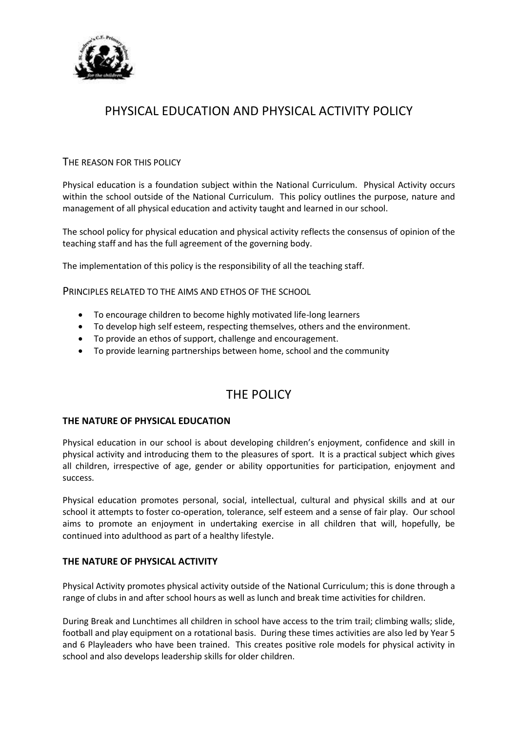

# PHYSICAL EDUCATION AND PHYSICAL ACTIVITY POLICY

## THE REASON FOR THIS POLICY

Physical education is a foundation subject within the National Curriculum. Physical Activity occurs within the school outside of the National Curriculum. This policy outlines the purpose, nature and management of all physical education and activity taught and learned in our school.

The school policy for physical education and physical activity reflects the consensus of opinion of the teaching staff and has the full agreement of the governing body.

The implementation of this policy is the responsibility of all the teaching staff.

PRINCIPLES RELATED TO THE AIMS AND ETHOS OF THE SCHOOL

- To encourage children to become highly motivated life-long learners
- To develop high self esteem, respecting themselves, others and the environment.
- To provide an ethos of support, challenge and encouragement.
- To provide learning partnerships between home, school and the community

## THE POLICY

#### **THE NATURE OF PHYSICAL EDUCATION**

Physical education in our school is about developing children's enjoyment, confidence and skill in physical activity and introducing them to the pleasures of sport. It is a practical subject which gives all children, irrespective of age, gender or ability opportunities for participation, enjoyment and success.

Physical education promotes personal, social, intellectual, cultural and physical skills and at our school it attempts to foster co-operation, tolerance, self esteem and a sense of fair play. Our school aims to promote an enjoyment in undertaking exercise in all children that will, hopefully, be continued into adulthood as part of a healthy lifestyle.

## **THE NATURE OF PHYSICAL ACTIVITY**

Physical Activity promotes physical activity outside of the National Curriculum; this is done through a range of clubs in and after school hours as well as lunch and break time activities for children.

During Break and Lunchtimes all children in school have access to the trim trail; climbing walls; slide, football and play equipment on a rotational basis. During these times activities are also led by Year 5 and 6 Playleaders who have been trained. This creates positive role models for physical activity in school and also develops leadership skills for older children.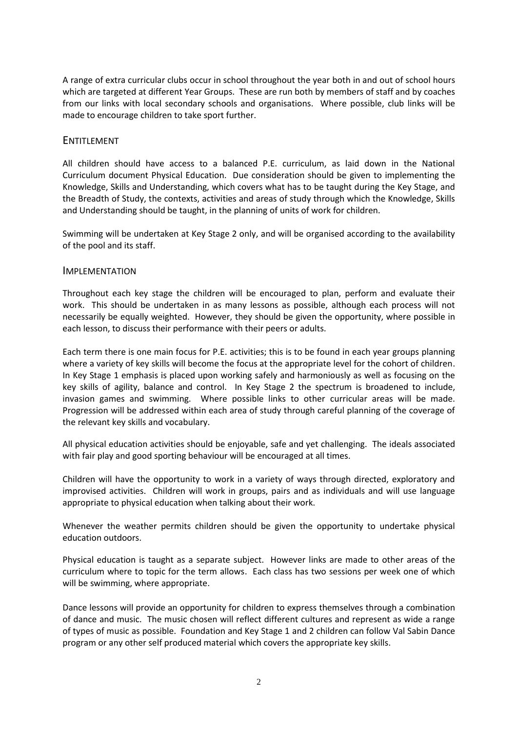A range of extra curricular clubs occur in school throughout the year both in and out of school hours which are targeted at different Year Groups. These are run both by members of staff and by coaches from our links with local secondary schools and organisations. Where possible, club links will be made to encourage children to take sport further.

### ENTITLEMENT

All children should have access to a balanced P.E. curriculum, as laid down in the National Curriculum document Physical Education. Due consideration should be given to implementing the Knowledge, Skills and Understanding, which covers what has to be taught during the Key Stage, and the Breadth of Study, the contexts, activities and areas of study through which the Knowledge, Skills and Understanding should be taught, in the planning of units of work for children.

Swimming will be undertaken at Key Stage 2 only, and will be organised according to the availability of the pool and its staff.

#### IMPLEMENTATION

Throughout each key stage the children will be encouraged to plan, perform and evaluate their work. This should be undertaken in as many lessons as possible, although each process will not necessarily be equally weighted. However, they should be given the opportunity, where possible in each lesson, to discuss their performance with their peers or adults.

Each term there is one main focus for P.E. activities; this is to be found in each year groups planning where a variety of key skills will become the focus at the appropriate level for the cohort of children. In Key Stage 1 emphasis is placed upon working safely and harmoniously as well as focusing on the key skills of agility, balance and control. In Key Stage 2 the spectrum is broadened to include, invasion games and swimming. Where possible links to other curricular areas will be made. Progression will be addressed within each area of study through careful planning of the coverage of the relevant key skills and vocabulary.

All physical education activities should be enjoyable, safe and yet challenging. The ideals associated with fair play and good sporting behaviour will be encouraged at all times.

Children will have the opportunity to work in a variety of ways through directed, exploratory and improvised activities. Children will work in groups, pairs and as individuals and will use language appropriate to physical education when talking about their work.

Whenever the weather permits children should be given the opportunity to undertake physical education outdoors.

Physical education is taught as a separate subject. However links are made to other areas of the curriculum where to topic for the term allows. Each class has two sessions per week one of which will be swimming, where appropriate.

Dance lessons will provide an opportunity for children to express themselves through a combination of dance and music. The music chosen will reflect different cultures and represent as wide a range of types of music as possible. Foundation and Key Stage 1 and 2 children can follow Val Sabin Dance program or any other self produced material which covers the appropriate key skills.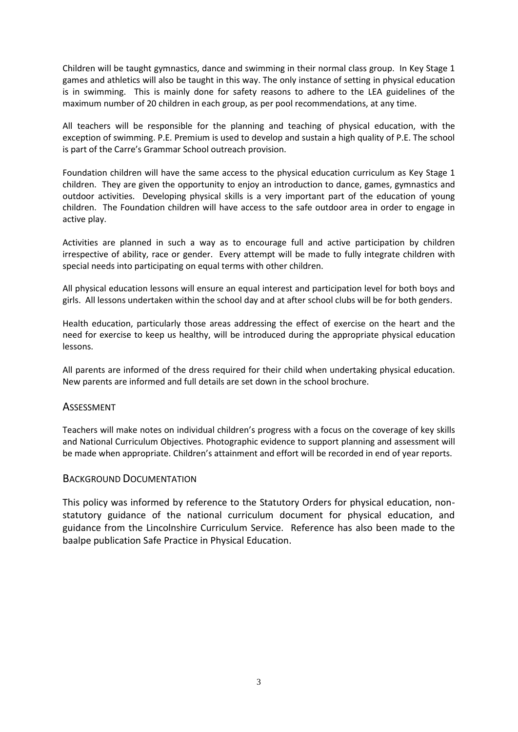Children will be taught gymnastics, dance and swimming in their normal class group. In Key Stage 1 games and athletics will also be taught in this way. The only instance of setting in physical education is in swimming. This is mainly done for safety reasons to adhere to the LEA guidelines of the maximum number of 20 children in each group, as per pool recommendations, at any time.

All teachers will be responsible for the planning and teaching of physical education, with the exception of swimming. P.E. Premium is used to develop and sustain a high quality of P.E. The school is part of the Carre's Grammar School outreach provision.

Foundation children will have the same access to the physical education curriculum as Key Stage 1 children. They are given the opportunity to enjoy an introduction to dance, games, gymnastics and outdoor activities. Developing physical skills is a very important part of the education of young children. The Foundation children will have access to the safe outdoor area in order to engage in active play.

Activities are planned in such a way as to encourage full and active participation by children irrespective of ability, race or gender. Every attempt will be made to fully integrate children with special needs into participating on equal terms with other children.

All physical education lessons will ensure an equal interest and participation level for both boys and girls. All lessons undertaken within the school day and at after school clubs will be for both genders.

Health education, particularly those areas addressing the effect of exercise on the heart and the need for exercise to keep us healthy, will be introduced during the appropriate physical education lessons.

All parents are informed of the dress required for their child when undertaking physical education. New parents are informed and full details are set down in the school brochure.

## ASSESSMENT

Teachers will make notes on individual children's progress with a focus on the coverage of key skills and National Curriculum Objectives. Photographic evidence to support planning and assessment will be made when appropriate. Children's attainment and effort will be recorded in end of year reports.

#### BACKGROUND DOCUMENTATION

This policy was informed by reference to the Statutory Orders for physical education, nonstatutory guidance of the national curriculum document for physical education, and guidance from the Lincolnshire Curriculum Service. Reference has also been made to the baalpe publication Safe Practice in Physical Education.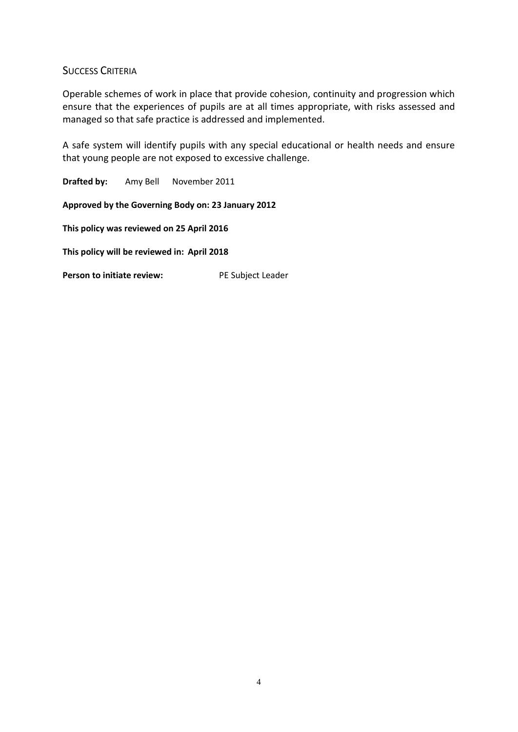## SUCCESS CRITERIA

Operable schemes of work in place that provide cohesion, continuity and progression which ensure that the experiences of pupils are at all times appropriate, with risks assessed and managed so that safe practice is addressed and implemented.

A safe system will identify pupils with any special educational or health needs and ensure that young people are not exposed to excessive challenge.

**Drafted by:** Amy Bell November 2011 **Approved by the Governing Body on: 23 January 2012 This policy was reviewed on 25 April 2016**

**This policy will be reviewed in: April 2018**

**Person to initiate review:** PE Subject Leader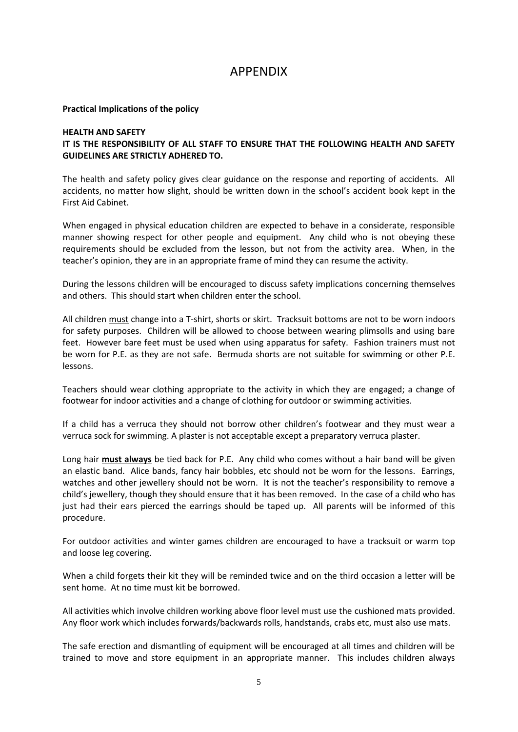## APPENDIX

#### **Practical Implications of the policy**

### **HEALTH AND SAFETY IT IS THE RESPONSIBILITY OF ALL STAFF TO ENSURE THAT THE FOLLOWING HEALTH AND SAFETY GUIDELINES ARE STRICTLY ADHERED TO.**

The health and safety policy gives clear guidance on the response and reporting of accidents. All accidents, no matter how slight, should be written down in the school's accident book kept in the First Aid Cabinet.

When engaged in physical education children are expected to behave in a considerate, responsible manner showing respect for other people and equipment. Any child who is not obeying these requirements should be excluded from the lesson, but not from the activity area. When, in the teacher's opinion, they are in an appropriate frame of mind they can resume the activity.

During the lessons children will be encouraged to discuss safety implications concerning themselves and others. This should start when children enter the school.

All children must change into a T-shirt, shorts or skirt. Tracksuit bottoms are not to be worn indoors for safety purposes. Children will be allowed to choose between wearing plimsolls and using bare feet. However bare feet must be used when using apparatus for safety. Fashion trainers must not be worn for P.E. as they are not safe. Bermuda shorts are not suitable for swimming or other P.E. lessons.

Teachers should wear clothing appropriate to the activity in which they are engaged; a change of footwear for indoor activities and a change of clothing for outdoor or swimming activities.

If a child has a verruca they should not borrow other children's footwear and they must wear a verruca sock for swimming. A plaster is not acceptable except a preparatory verruca plaster.

Long hair **must always** be tied back for P.E. Any child who comes without a hair band will be given an elastic band. Alice bands, fancy hair bobbles, etc should not be worn for the lessons. Earrings, watches and other jewellery should not be worn. It is not the teacher's responsibility to remove a child's jewellery, though they should ensure that it has been removed. In the case of a child who has just had their ears pierced the earrings should be taped up. All parents will be informed of this procedure.

For outdoor activities and winter games children are encouraged to have a tracksuit or warm top and loose leg covering.

When a child forgets their kit they will be reminded twice and on the third occasion a letter will be sent home. At no time must kit be borrowed.

All activities which involve children working above floor level must use the cushioned mats provided. Any floor work which includes forwards/backwards rolls, handstands, crabs etc, must also use mats.

The safe erection and dismantling of equipment will be encouraged at all times and children will be trained to move and store equipment in an appropriate manner. This includes children always